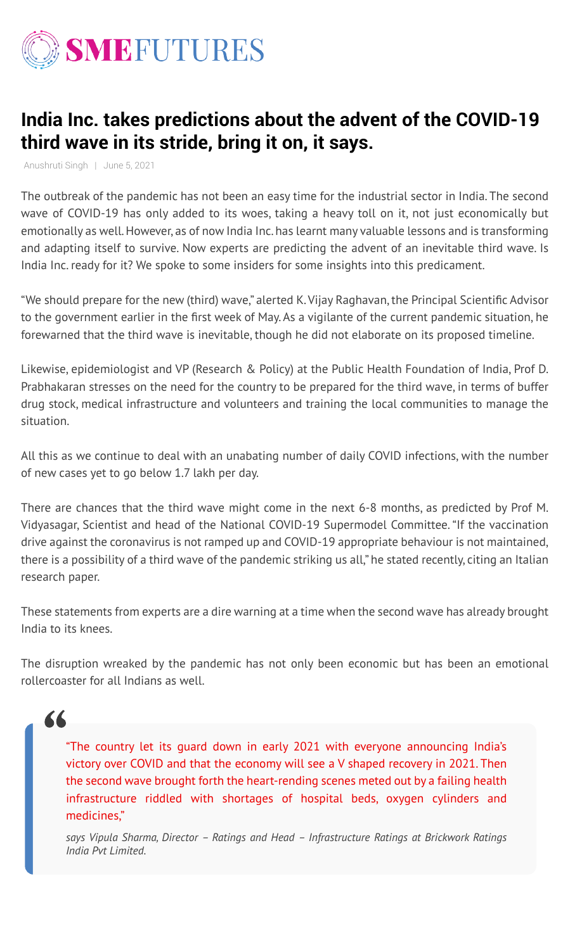

# **India Inc. takes predictions about the advent of the COVID-19 third wave in its stride, bring it on, it says.**

The outbreak of the pandemic has not been an easy time for the industrial sector in India. The second wave of COVID-19 has only added to its woes, taking a heavy toll on it, not just economically but emotionally as well. However, as of now India Inc. has learnt many valuable lessons and is transforming and adapting itself to survive. Now experts are predicting the advent of an inevitable third wave. Is India Inc. ready for it? We spoke to some insiders for some insights into this predicament.

"We should prepare for the new (third) wave," alerted K. Vijay Raghavan, the Principal Scientific Advisor to the government earlier in the first week of May. As a vigilante of the current pandemic situation, he forewarned that the third wave is inevitable, though he did not elaborate on its proposed timeline.

Likewise, epidemiologist and VP (Research & Policy) at the Public Health Foundation of India, Prof D. Prabhakaran stresses on the need for the country to be prepared for the third wave, in terms of buffer drug stock, medical infrastructure and volunteers and training the local communities to manage the situation.

All this as we continue to deal with an unabating number of daily COVID infections, with the number of new cases yet to go below 1.7 lakh per day.

There are chances that the third wave might come in the next 6-8 months, as predicted by Prof M. Vidyasagar, Scientist and head of the National COVID-19 Supermodel Committee. "If the vaccination drive against the coronavirus is not ramped up and COVID-19 appropriate behaviour is not maintained, there is a possibility of a third wave of the pandemic striking us all," he stated recently, citing an Italian research paper.

These statements from experts are a dire warning at a time when the second wave has already brought India to its knees.

The disruption wreaked by the pandemic has not only been economic but has been an emotional rollercoaster for all Indians as well.

Anushruti Singh | June 5, 2021

"The country let its guard down in early 2021 with everyone announcing India's victory over COVID and that the economy will see a V shaped recovery in 2021. Then the second wave brought forth the heart-rending scenes meted out by a failing health infrastructure riddled with shortages of hospital beds, oxygen cylinders and medicines,"

*says Vipula Sharma, Director – Ratings and Head – Infrastructure Ratings at Brickwork Ratings India Pvt Limited.*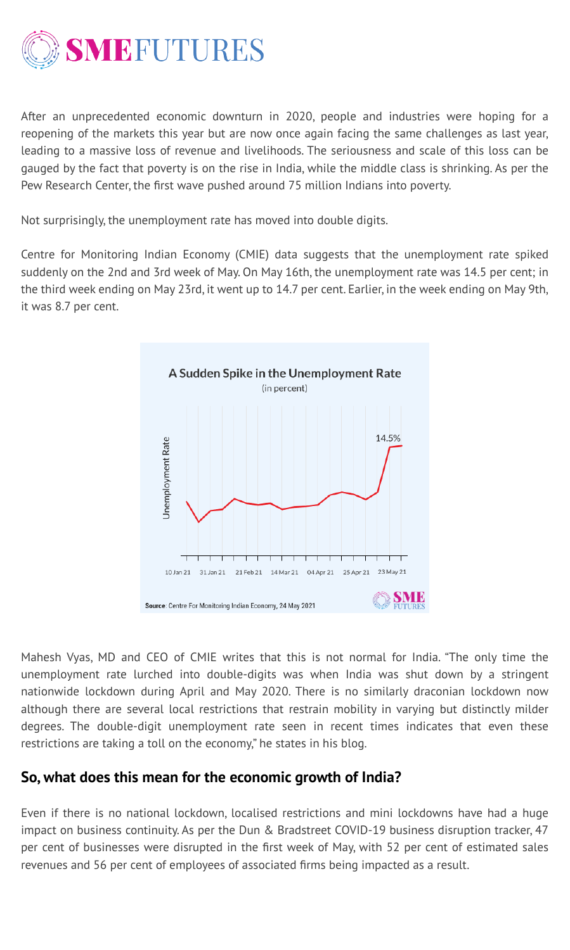

After an unprecedented economic downturn in 2020, people and industries were hoping for a reopening of the markets this year but are now once again facing the same challenges as last year, leading to a massive loss of revenue and livelihoods. The seriousness and scale of this loss can be gauged by the fact that poverty is on the rise in India, while the middle class is shrinking. As per the Pew Research Center, the first wave pushed around 75 million Indians into poverty.

Not surprisingly, the unemployment rate has moved into double digits.

Centre for Monitoring Indian Economy (CMIE) data suggests that the unemployment rate spiked suddenly on the 2nd and 3rd week of May. On May 16th, the unemployment rate was 14.5 per cent; in the third week ending on May 23rd, it went up to 14.7 per cent. Earlier, in the week ending on May 9th, it was 8.7 per cent.



Mahesh Vyas, MD and CEO of CMIE writes that this is not normal for India. "The only time the unemployment rate lurched into double-digits was when India was shut down by a stringent nationwide lockdown during April and May 2020. There is no similarly draconian lockdown now although there are several local restrictions that restrain mobility in varying but distinctly milder degrees. The double-digit unemployment rate seen in recent times indicates that even these restrictions are taking a toll on the economy," he states in his blog.

### **So, what does this mean for the economic growth of India?**

Even if there is no national lockdown, localised restrictions and mini lockdowns have had a huge impact on business continuity. As per the Dun & Bradstreet COVID-19 business disruption tracker, 47 per cent of businesses were disrupted in the first week of May, with 52 per cent of estimated sales revenues and 56 per cent of employees of associated firms being impacted as a result.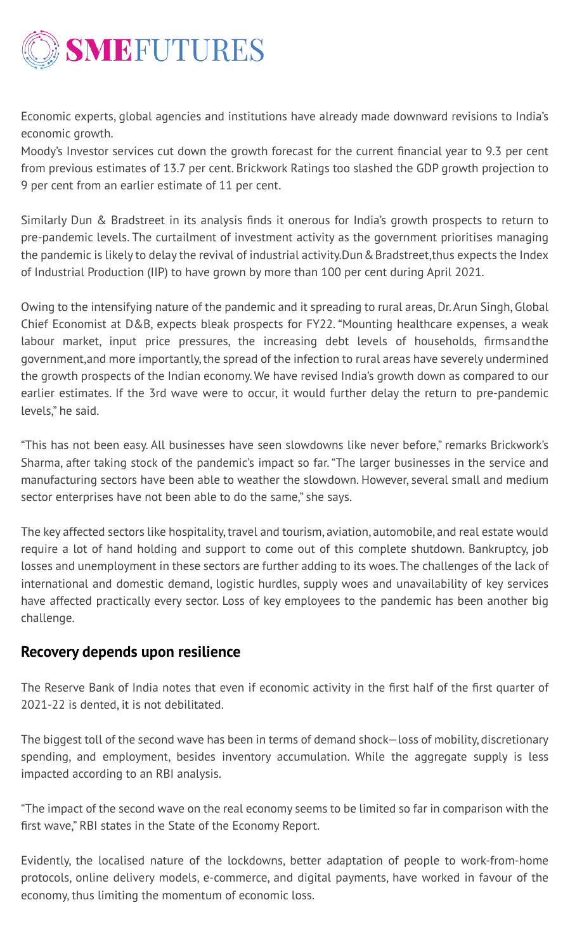

Economic experts, global agencies and institutions have already made downward revisions to India's economic growth.

Moody's Investor services cut down the growth forecast for the current financial year to 9.3 per cent from previous estimates of 13.7 per cent. Brickwork Ratings too slashed the GDP growth projection to 9 per cent from an earlier estimate of 11 per cent.

Similarly Dun & Bradstreet in its analysis finds it onerous for India's growth prospects to return to pre-pandemic levels. The curtailment of investment activity as the government prioritises managing the pandemic is likely to delay the revival of industrial activity. Dun & Bradstreet, thus expects the Index of Industrial Production (IIP) to have grown by more than 100 per cent during April 2021.

Sharma, after taking stock of the pandemic's impact so far. "The larger businesses in the service and manufacturing sectors have been able to weather the slowdown. However, several small and medium sector enterprises have not been able to do the same," she says.

Owing to the intensifying nature of the pandemic and it spreading to rural areas, Dr. Arun Singh, Global Chief Economist at D&B, expects bleak prospects for FY22. "Mounting healthcare expenses, a weak labour market, input price pressures, the increasing debt levels of households, firms and the government, and more importantly, the spread of the infection to rural areas have severely undermined the growth prospects of the Indian economy. We have revised India's growth down as compared to our earlier estimates. If the 3rd wave were to occur, it would further delay the return to pre-pandemic levels," he said.

"This has not been easy. All businesses have seen slowdowns like never before," remarks Brickwork's

The key affected sectors like hospitality, travel and tourism, aviation, automobile, and real estate would require a lot of hand holding and support to come out of this complete shutdown. Bankruptcy, job losses and unemployment in these sectors are further adding to its woes. The challenges of the lack of international and domestic demand, logistic hurdles, supply woes and unavailability of key services have affected practically every sector. Loss of key employees to the pandemic has been another big challenge.

## **Recovery depends upon resilience**

The Reserve Bank of India notes that even if economic activity in the first half of the first quarter of 2021-22 is dented, it is not debilitated.

The biggest toll of the second wave has been in terms of demand shock—loss of mobility, discretionary spending, and employment, besides inventory accumulation. While the aggregate supply is less impacted according to an RBI analysis.

"The impact of the second wave on the real economy seems to be limited so far in comparison with the first wave," RBI states in the State of the Economy Report.

Evidently, the localised nature of the lockdowns, better adaptation of people to work-from-home protocols, online delivery models, e-commerce, and digital payments, have worked in favour of the economy, thus limiting the momentum of economic loss.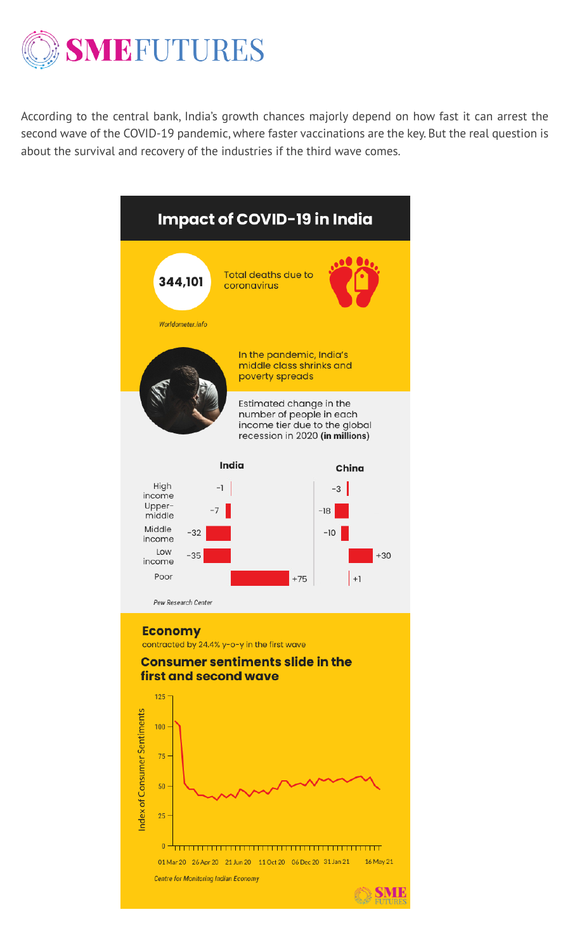

According to the central bank, India's growth chances majorly depend on how fast it can arrest the second wave of the COVID-19 pandemic, where faster vaccinations are the key. But the real question is about the survival and recovery of the industries if the third wave comes.





Pew Research Center

#### **Economy**

contracted by 24.4% y-o-y in the first wave

### **Consumer sentiments slide in the** first and second wave